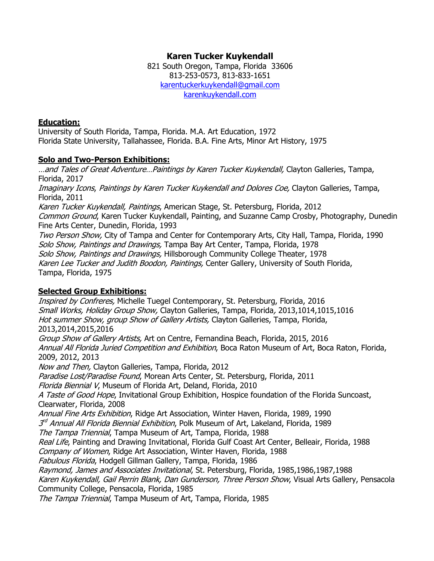# **Karen Tucker Kuykendall**

821 South Oregon, Tampa, Florida 33606 813-253-0573, 813-833-1651 [karentuckerkuykendall@gmail.com](mailto:karentuckerkuykendall@gmail.com) [karenkuykendall.com](http://www.karenkuykendall.com/)

#### **Education:**

University of South Florida, Tampa, Florida. M.A. Art Education, 1972 Florida State University, Tallahassee, Florida. B.A. Fine Arts, Minor Art History, 1975

#### **Solo and Two-Person Exhibitions:**

...and Tales of Great Adventure...Paintings by Karen Tucker Kuykendall, Clayton Galleries, Tampa, Florida, 2017 Imaginary Icons, Paintings by Karen Tucker Kuykendall and Dolores Coe, Clayton Galleries, Tampa, Florida, 2011 Karen Tucker Kuykendall, Paintings, American Stage, St. Petersburg, Florida, 2012 Common Ground, Karen Tucker Kuykendall, Painting, and Suzanne Camp Crosby, Photography, Dunedin Fine Arts Center, Dunedin, Florida, 1993 Two Person Show, City of Tampa and Center for Contemporary Arts, City Hall, Tampa, Florida, 1990 Solo Show, Paintings and Drawings, Tampa Bay Art Center, Tampa, Florida, 1978 Solo Show, Paintings and Drawings, Hillsborough Community College Theater, 1978 Karen Lee Tucker and Judith Boodon, Paintings, Center Gallery, University of South Florida, Tampa, Florida, 1975

## **Selected Group Exhibitions:**

Inspired by Confreres, Michelle Tuegel Contemporary, St. Petersburg, Florida, 2016 Small Works, Holiday Group Show, Clayton Galleries, Tampa, Florida, 2013,1014,1015,1016 Hot summer Show, group Show of Gallery Artists, Clayton Galleries, Tampa, Florida, 2013,2014,2015,2016 Group Show of Gallery Artists, Art on Centre, Fernandina Beach, Florida, 2015, 2016 Annual All Florida Juried Competition and Exhibition, Boca Raton Museum of Art, Boca Raton, Florida, 2009, 2012, 2013 Now and Then, Clayton Galleries, Tampa, Florida, 2012 Paradise Lost/Paradise Found, Morean Arts Center, St. Petersburg, Florida, 2011 Florida Biennial V, Museum of Florida Art, Deland, Florida, 2010 A Taste of Good Hope, Invitational Group Exhibition, Hospice foundation of the Florida Suncoast, Clearwater, Florida, 2008 Annual Fine Arts Exhibition, Ridge Art Association, Winter Haven, Florida, 1989, 1990 3<sup>rd</sup> Annual All Florida Biennial Exhibition, Polk Museum of Art, Lakeland, Florida, 1989 The Tampa Triennial, Tampa Museum of Art, Tampa, Florida, 1988 Real Life, Painting and Drawing Invitational, Florida Gulf Coast Art Center, Belleair, Florida, 1988 Company of Women, Ridge Art Association, Winter Haven, Florida, 1988 Fabulous Florida, Hodgell Gillman Gallery, Tampa, Florida, 1986 Raymond, James and Associates Invitational, St. Petersburg, Florida, 1985,1986,1987,1988 Karen Kuykendall, Gail Perrin Blank, Dan Gunderson, Three Person Show, Visual Arts Gallery, Pensacola Community College, Pensacola, Florida, 1985 The Tampa Triennial, Tampa Museum of Art, Tampa, Florida, 1985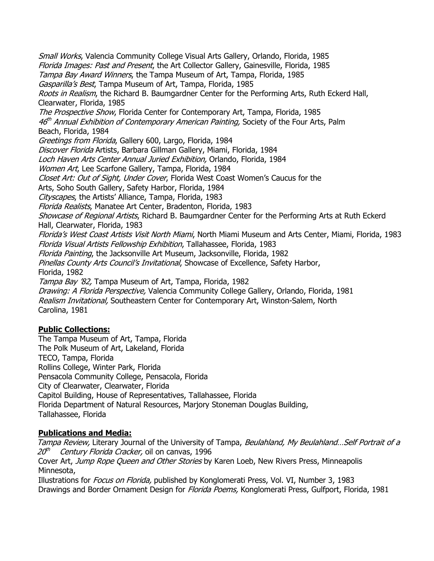Small Works, Valencia Community College Visual Arts Gallery, Orlando, Florida, 1985 Florida Images: Past and Present, the Art Collector Gallery, Gainesville, Florida, 1985 Tampa Bay Award Winners, the Tampa Museum of Art, Tampa, Florida, 1985 Gasparilla's Best, Tampa Museum of Art, Tampa, Florida, 1985 Roots in Realism, the Richard B. Baumgardner Center for the Performing Arts, Ruth Eckerd Hall, Clearwater, Florida, 1985 The Prospective Show, Florida Center for Contemporary Art, Tampa, Florida, 1985 46<sup>th</sup> Annual Exhibition of Contemporary American Painting, Society of the Four Arts, Palm Beach, Florida, 1984 Greetings from Florida, Gallery 600, Largo, Florida, 1984 Discover Florida Artists, Barbara Gillman Gallery, Miami, Florida, 1984 Loch Haven Arts Center Annual Juried Exhibition, Orlando, Florida, 1984 Women Art, Lee Scarfone Gallery, Tampa, Florida, 1984 Closet Art: Out of Sight, Under Cover, Florida West Coast Women's Caucus for the Arts, Soho South Gallery, Safety Harbor, Florida, 1984 Cityscapes, the Artists' Alliance, Tampa, Florida, 1983 Florida Realists, Manatee Art Center, Bradenton, Florida, 1983 Showcase of Regional Artists, Richard B. Baumgardner Center for the Performing Arts at Ruth Eckerd Hall, Clearwater, Florida, 1983 Florida's West Coast Artists Visit North Miami, North Miami Museum and Arts Center, Miami, Florida, 1983 Florida Visual Artists Fellowship Exhibition, Tallahassee, Florida, 1983 Florida Painting, the Jacksonville Art Museum, Jacksonville, Florida, 1982 Pinellas County Arts Council's Invitational, Showcase of Excellence, Safety Harbor, Florida, 1982 Tampa Bay '82, Tampa Museum of Art, Tampa, Florida, 1982 Drawing: A Florida Perspective, Valencia Community College Gallery, Orlando, Florida, 1981 Realism Invitational, Southeastern Center for Contemporary Art, Winston-Salem, North Carolina, 1981

## **Public Collections:**

The Tampa Museum of Art, Tampa, Florida The Polk Museum of Art, Lakeland, Florida TECO, Tampa, Florida Rollins College, Winter Park, Florida Pensacola Community College, Pensacola, Florida City of Clearwater, Clearwater, Florida Capitol Building, House of Representatives, Tallahassee, Florida Florida Department of Natural Resources, Marjory Stoneman Douglas Building, Tallahassee, Florida

## **Publications and Media:**

Tampa Review, Literary Journal of the University of Tampa, Beulahland, My Beulahland... Self Portrait of a 20<sup>th</sup> Century Florida Cracker, oil on canvas, 1996

Cover Art, Jump Rope Queen and Other Stories by Karen Loeb, New Rivers Press, Minneapolis Minnesota,

Illustrations for *Focus on Florida*, published by Konglomerati Press, Vol. VI, Number 3, 1983 Drawings and Border Ornament Design for *Florida Poems*, Konglomerati Press, Gulfport, Florida, 1981